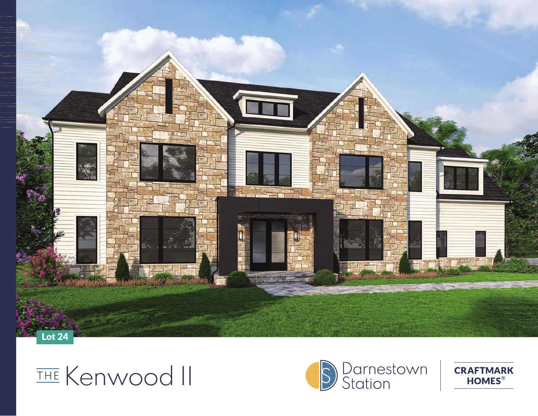

## THE Kenwood II



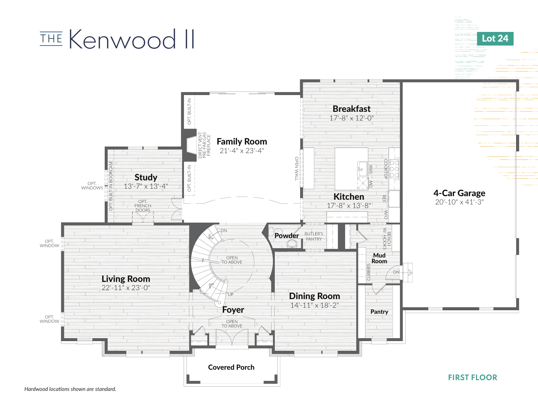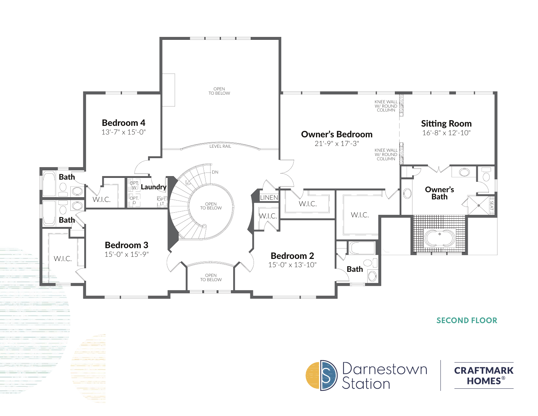

SECOND FLOOR